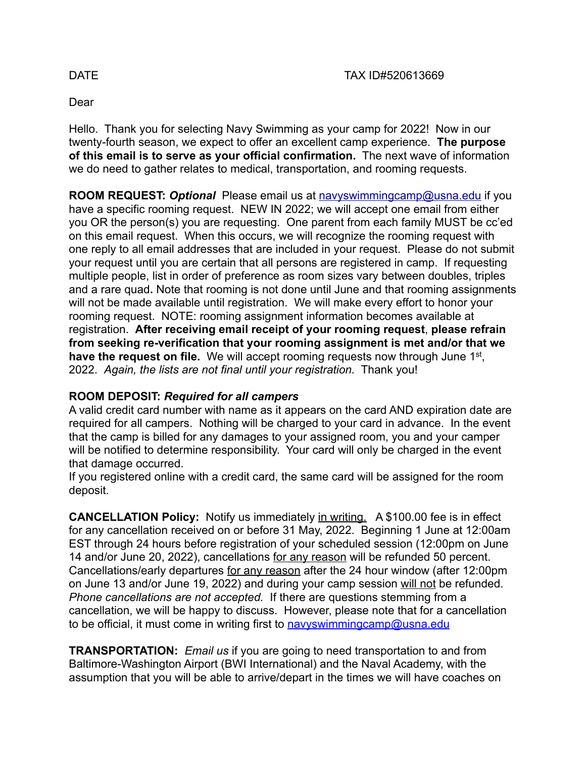#### Dear

Hello. Thank you for selecting Navy Swimming as your camp for 2022! Now in our twenty-fourth season, we expect to offer an excellent camp experience. **The purpose of this email is to serve as your official confirmation.** The next wave of information we do need to gather relates to medical, transportation, and rooming requests.

**ROOM REQUEST:** *Optional* Please email us at [navyswimmingcamp@usna.edu](mailto:navyswimmingcamp@usna.edu) if you have a specific rooming request. NEW IN 2022; we will accept one email from either you OR the person(s) you are requesting. One parent from each family MUST be cc'ed on this email request. When this occurs, we will recognize the rooming request with one reply to all email addresses that are included in your request. Please do not submit your request until you are certain that all persons are registered in camp. If requesting multiple people, list in order of preference as room sizes vary between doubles, triples and a rare quad**.** Note that rooming is not done until June and that rooming assignments will not be made available until registration. We will make every effort to honor your rooming request. NOTE: rooming assignment information becomes available at registration. **After receiving email receipt of your rooming request**, **please refrain from seeking re-verification that your rooming assignment is met and/or that we have the request on file.** We will accept rooming requests now through June 1st, 2022. *Again, the lists are not final until your registration.* Thank you!

#### **ROOM DEPOSIT:** *Required for all campers*

A valid credit card number with name as it appears on the card AND expiration date are required for all campers. Nothing will be charged to your card in advance. In the event that the camp is billed for any damages to your assigned room, you and your camper will be notified to determine responsibility. Your card will only be charged in the event that damage occurred.

If you registered online with a credit card, the same card will be assigned for the room deposit.

**CANCELLATION Policy:** Notify us immediately in writing. A \$100.00 fee is in effect for any cancellation received on or before 31 May, 2022. Beginning 1 June at 12:00am EST through 24 hours before registration of your scheduled session (12:00pm on June 14 and/or June 20, 2022), cancellations for any reason will be refunded 50 percent. Cancellations/early departures for any reason after the 24 hour window (after 12:00pm on June 13 and/or June 19, 2022) and during your camp session will not be refunded. *Phone cancellations are not accepted.* If there are questions stemming from a cancellation, we will be happy to discuss. However, please note that for a cancellation to be official, it must come in writing first to [navyswimmingcamp@usna.edu](mailto:navyswimmingcamp@usna.edu)

**TRANSPORTATION:** *Email us* if you are going to need transportation to and from Baltimore-Washington Airport (BWI International) and the Naval Academy, with the assumption that you will be able to arrive/depart in the times we will have coaches on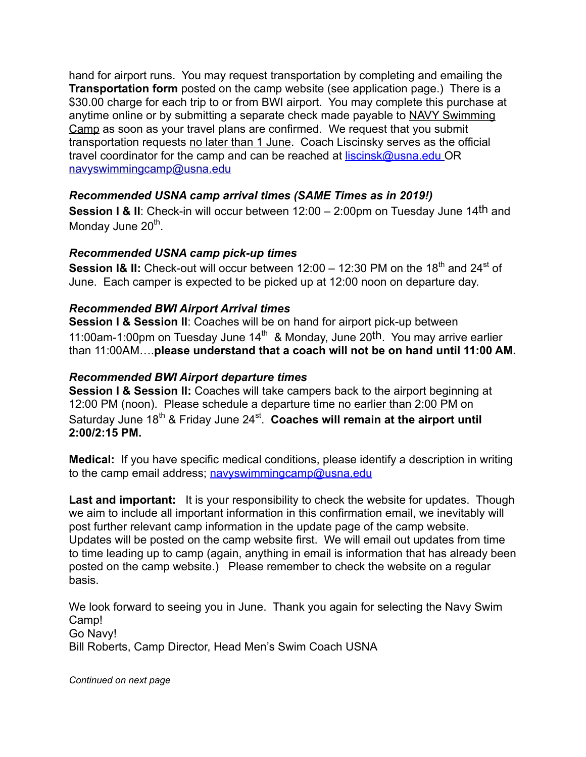hand for airport runs. You may request transportation by completing and emailing the **Transportation form** posted on the camp website (see application page.) There is a \$30.00 charge for each trip to or from BWI airport. You may complete this purchase at anytime online or by submitting a separate check made payable to NAVY Swimming Camp as soon as your travel plans are confirmed. We request that you submit transportation requests no later than 1 June. Coach Liscinsky serves as the official travel coordinator for the camp and can be reached at **[liscinsk@usna.edu](mailto:liscinsk@usna.edu)** OR [navyswimmingcamp@usna.edu](mailto:navyswimmingcamp@usna.edu)

# *Recommended USNA camp arrival times (SAME Times as in 2019!)*

**Session I & II:** Check-in will occur between 12:00 – 2:00pm on Tuesday June 14th and Monday June  $20<sup>th</sup>$ .

### *Recommended USNA camp pick-up times*

**Session I& II:** Check-out will occur between 12:00 – 12:30 PM on the 18<sup>th</sup> and 24<sup>st</sup> of June. Each camper is expected to be picked up at 12:00 noon on departure day.

## *Recommended BWI Airport Arrival times*

**Session I & Session II**: Coaches will be on hand for airport pick-up between 11:00am-1:00pm on Tuesday June  $14<sup>th</sup>$  & Monday, June 20<sup>th</sup>. You may arrive earlier than 11:00AM….**please understand that a coach will not be on hand until 11:00 AM.** 

#### *Recommended BWI Airport departure times*

**Session I & Session II:** Coaches will take campers back to the airport beginning at 12:00 PM (noon). Please schedule a departure time no earlier than 2:00 PM on Saturday June 18<sup>th</sup> & Friday June 24<sup>st</sup>. **Coaches will remain at the airport until 2:00/2:15 PM.**

**Medical:** If you have specific medical conditions, please identify a description in writing to the camp email address; navyswimmingcamp@usna.edu

Last and important: It is your responsibility to check the website for updates. Though we aim to include all important information in this confirmation email, we inevitably will post further relevant camp information in the update page of the camp website. Updates will be posted on the camp website first. We will email out updates from time to time leading up to camp (again, anything in email is information that has already been posted on the camp website.) Please remember to check the website on a regular basis.

We look forward to seeing you in June. Thank you again for selecting the Navy Swim Camp! Go Navy! Bill Roberts, Camp Director, Head Men's Swim Coach USNA

*Continued on next page*